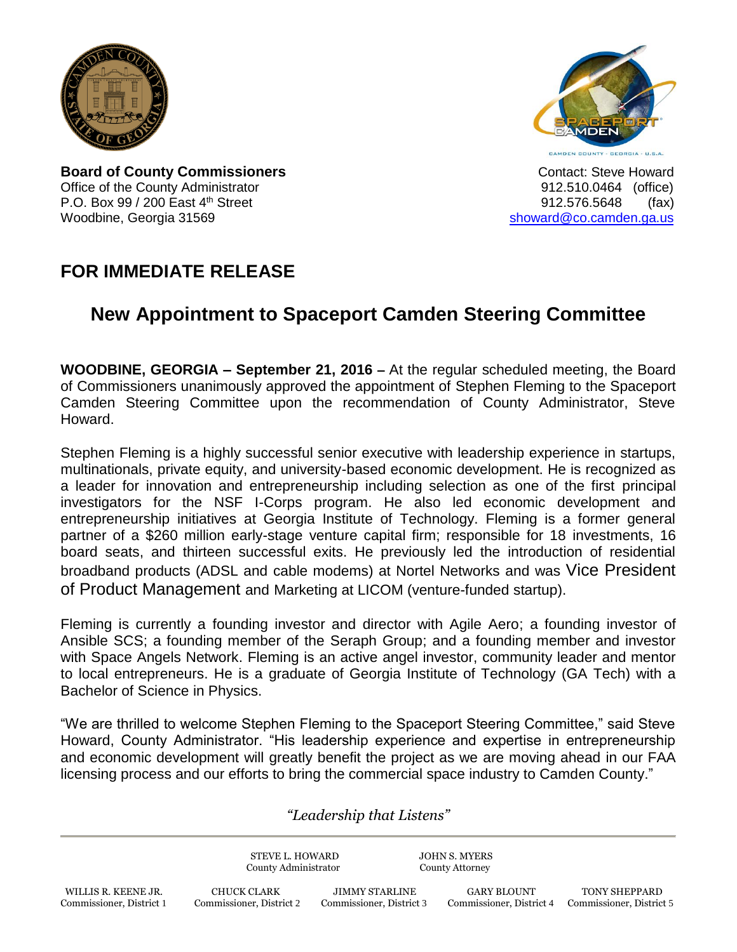



**Board of County Commissioners Contact: Steve Howard Contact: Steve Howard** Office of the County Administrator 912.510.0464 (office) P.O. Box 99 / 200 East 4<sup>th</sup> Street 912.576.5648 (fax) Woodbine, Georgia 31569 [showard@co.camden.ga.us](mailto:showard@co.camden.ga.us)

## **FOR IMMEDIATE RELEASE**

## **New Appointment to Spaceport Camden Steering Committee**

**WOODBINE, GEORGIA – September 21, 2016 –** At the regular scheduled meeting, the Board of Commissioners unanimously approved the appointment of Stephen Fleming to the Spaceport Camden Steering Committee upon the recommendation of County Administrator, Steve Howard.

Stephen Fleming is a highly successful senior executive with leadership experience in startups, multinationals, private equity, and university-based economic development. He is recognized as a leader for innovation and entrepreneurship including selection as one of the first principal investigators for the NSF I-Corps program. He also led economic development and entrepreneurship initiatives at Georgia Institute of Technology. Fleming is a former general partner of a \$260 million early-stage venture capital firm; responsible for 18 investments, 16 board seats, and thirteen successful exits. He previously led the introduction of residential broadband products (ADSL and cable modems) at Nortel Networks and was Vice President of Product Management and Marketing at LICOM (venture-funded startup).

Fleming is currently a founding investor and director with Agile Aero; a founding investor of Ansible SCS; a founding member of the Seraph Group; and a founding member and investor with Space Angels Network. Fleming is an active angel investor, community leader and mentor to local entrepreneurs. He is a graduate of Georgia Institute of Technology (GA Tech) with a Bachelor of Science in Physics.

"We are thrilled to welcome Stephen Fleming to the Spaceport Steering Committee," said Steve Howard, County Administrator. "His leadership experience and expertise in entrepreneurship and economic development will greatly benefit the project as we are moving ahead in our FAA licensing process and our efforts to bring the commercial space industry to Camden County."

## *"Leadership that Listens"*

STEVE L. HOWARD JOHN S. MYERS County Administrator County Attorney